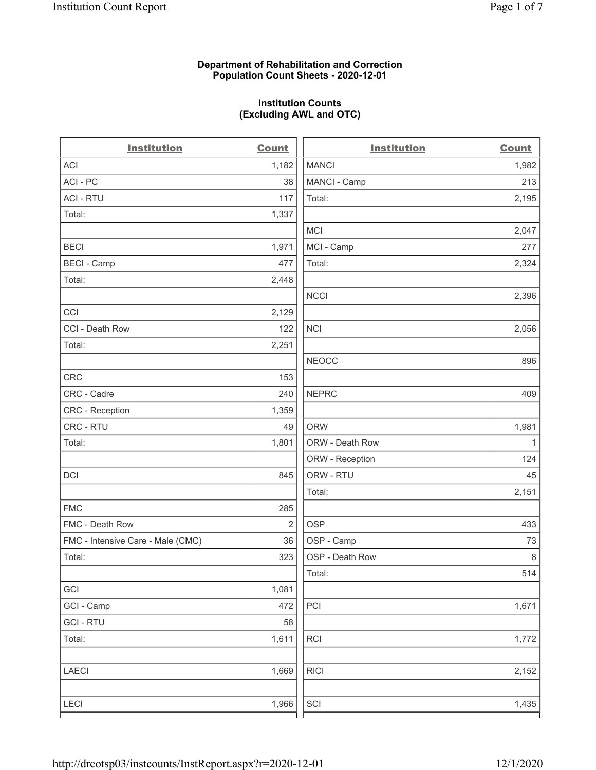## Department of Rehabilitation and Correction Population Count Sheets - 2020-12-01

## Institution Counts (Excluding AWL and OTC)

. .

| <b>Institution</b>                | <b>Count</b>   | <b>Institution</b> | <b>Count</b> |
|-----------------------------------|----------------|--------------------|--------------|
| <b>ACI</b>                        | 1,182          | <b>MANCI</b>       | 1,982        |
| ACI-PC                            | 38             | MANCI - Camp       | 213          |
| <b>ACI - RTU</b>                  | 117            | Total:             | 2,195        |
| Total:                            | 1,337          |                    |              |
|                                   |                | MCI                | 2,047        |
| <b>BECI</b>                       | 1,971          | MCI - Camp         | 277          |
| <b>BECI - Camp</b>                | 477            | Total:             | 2,324        |
| Total:                            | 2,448          |                    |              |
|                                   |                | <b>NCCI</b>        | 2,396        |
| CCI                               | 2,129          |                    |              |
| CCI - Death Row                   | 122            | <b>NCI</b>         | 2,056        |
| Total:                            | 2,251          |                    |              |
|                                   |                | <b>NEOCC</b>       | 896          |
| <b>CRC</b>                        | 153            |                    |              |
| CRC - Cadre                       | 240            | <b>NEPRC</b>       | 409          |
| <b>CRC</b> - Reception            | 1,359          |                    |              |
| CRC - RTU                         | 49             | <b>ORW</b>         | 1,981        |
| Total:                            | 1,801          | ORW - Death Row    | $\mathbf{1}$ |
|                                   |                | ORW - Reception    | 124          |
| DCI                               | 845            | ORW - RTU          | 45           |
|                                   |                | Total:             | 2,151        |
| <b>FMC</b>                        | 285            |                    |              |
| FMC - Death Row                   | $\overline{2}$ | <b>OSP</b>         | 433          |
| FMC - Intensive Care - Male (CMC) | 36             | OSP - Camp         | 73           |
| Total:                            | 323            | OSP - Death Row    | $\,8\,$      |
|                                   |                | Total:             | 514          |
| GCI                               | 1,081          |                    |              |
| GCI - Camp                        | 472            | PCI                | 1,671        |
| <b>GCI-RTU</b>                    | 58             |                    |              |
| Total:                            | 1,611          | RCI                | 1,772        |
| <b>LAECI</b>                      | 1,669          | <b>RICI</b>        | 2,152        |
| <b>LECI</b>                       | 1,966          | SCI                | 1,435        |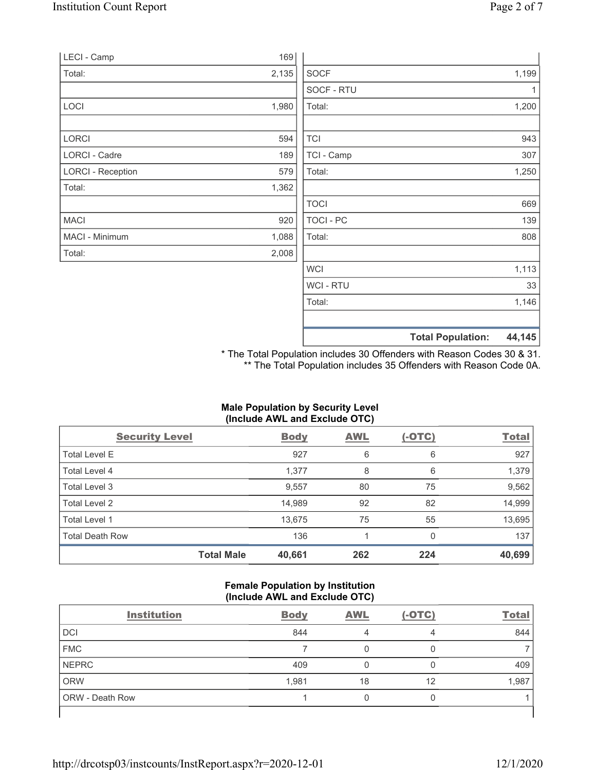|                          | 169   |                  |       |
|--------------------------|-------|------------------|-------|
| LECI - Camp              |       |                  |       |
| Total:                   | 2,135 | <b>SOCF</b>      | 1,199 |
|                          |       | SOCF - RTU       | 1     |
| LOCI                     | 1,980 | Total:           | 1,200 |
| LORCI                    | 594   | <b>TCI</b>       | 943   |
| LORCI - Cadre            | 189   | TCI - Camp       | 307   |
| <b>LORCI - Reception</b> | 579   | Total:           | 1,250 |
| Total:                   | 1,362 |                  |       |
|                          |       | <b>TOCI</b>      | 669   |
| <b>MACI</b>              | 920   | TOCI - PC        | 139   |
| MACI - Minimum           | 1,088 | Total:           | 808   |
| Total:                   | 2,008 |                  |       |
|                          |       | <b>WCI</b>       | 1,113 |
|                          |       | <b>WCI - RTU</b> | 33    |

Total Population: 44,145

\* The Total Population includes 30 Offenders with Reason Codes 30 & 31. \*\* The Total Population includes 35 Offenders with Reason Code 0A.

Total: 1,146

# Male Population by Security Level (Include AWL and Exclude OTC)

| <b>Security Level</b>  |                   | <b>Body</b> | AWL | $(-OTC)$ | <b>Total</b> |
|------------------------|-------------------|-------------|-----|----------|--------------|
| Total Level E          |                   | 927         | 6   | 6        | 927          |
| Total Level 4          |                   | 1,377       | 8   | 6        | 1,379        |
| Total Level 3          |                   | 9,557       | 80  | 75       | 9,562        |
| Total Level 2          |                   | 14,989      | 92  | 82       | 14,999       |
| Total Level 1          |                   | 13,675      | 75  | 55       | 13,695       |
| <b>Total Death Row</b> |                   | 136         |     |          | 137          |
|                        | <b>Total Male</b> | 40,661      | 262 | 224      | 40,699       |

## Female Population by Institution (Include AWL and Exclude OTC)

| <b>Institution</b>     | <b>Body</b> | <b>AWL</b> | $(-OTC)$ | <b>Total</b> |
|------------------------|-------------|------------|----------|--------------|
| <b>DCI</b>             | 844         |            | 4        | 844          |
| <b>FMC</b>             |             |            |          |              |
| <b>NEPRC</b>           | 409         |            |          | 409          |
| <b>ORW</b>             | 1,981       | 18         | 12       | 1,987        |
| <b>ORW - Death Row</b> |             | 0          | 0        |              |
|                        |             |            |          |              |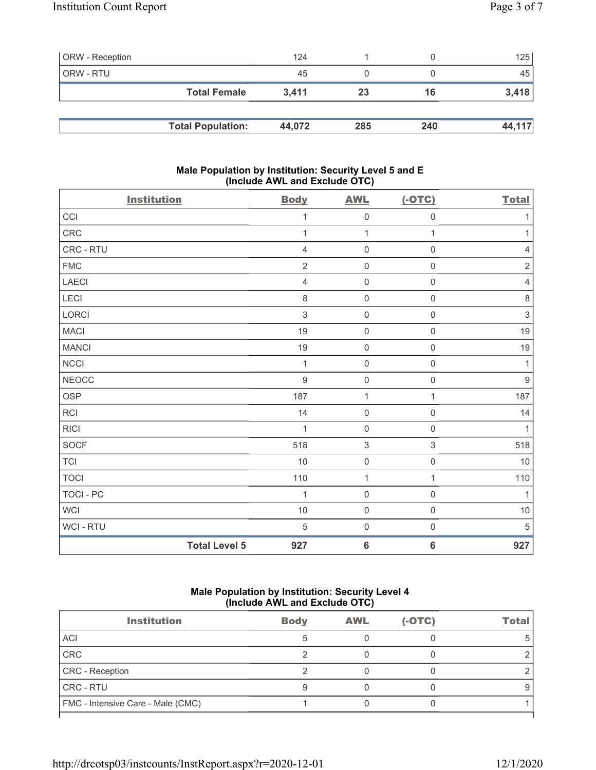| <b>ORW</b> - Reception |                          | 124    |     |     | 125    |
|------------------------|--------------------------|--------|-----|-----|--------|
| ORW - RTU              |                          | 45     |     |     | 45     |
|                        | <b>Total Female</b>      | 3.411  | 23  | 16  | 3,418  |
|                        |                          |        |     |     |        |
|                        | <b>Total Population:</b> | 44.072 | 285 | 240 | 44,117 |

## Male Population by Institution: Security Level 5 and E (Include AWL and Exclude OTC)

| <b>Institution</b> |                      | <b>Body</b>      | <b>AWL</b>                | $(-OTC)$            | <b>Total</b>     |
|--------------------|----------------------|------------------|---------------------------|---------------------|------------------|
| CCI                |                      | 1                | $\mathsf{O}\xspace$       | $\mathsf{O}\xspace$ | $\mathbf{1}$     |
| CRC                |                      | 1                | $\mathbf{1}$              | 1                   | 1                |
| CRC - RTU          |                      | $\sqrt{4}$       | $\mathsf{O}\xspace$       | $\mathsf{O}\xspace$ | $\sqrt{4}$       |
| ${\sf FMC}$        |                      | $\overline{2}$   | $\mathsf{O}\xspace$       | $\mathsf{O}\xspace$ | $\sqrt{2}$       |
| <b>LAECI</b>       |                      | $\overline{4}$   | $\mathbf 0$               | $\mathsf{O}\xspace$ | $\overline{4}$   |
| LECI               |                      | $\,8\,$          | $\mathsf 0$               | $\mathsf 0$         | $\,8\,$          |
| LORCI              |                      | $\mathfrak{S}$   | $\mathsf{O}\xspace$       | $\mathsf{O}\xspace$ | $\mathfrak{S}$   |
| <b>MACI</b>        |                      | 19               | $\mathbf 0$               | $\mathsf{O}\xspace$ | 19               |
| <b>MANCI</b>       |                      | 19               | $\mathbf 0$               | $\mathsf{O}\xspace$ | 19               |
| <b>NCCI</b>        |                      | $\mathbf{1}$     | $\mathsf 0$               | $\mathsf 0$         | $\mathbf{1}$     |
| NEOCC              |                      | $\boldsymbol{9}$ | $\mathbf 0$               | $\mathsf{O}\xspace$ | $\boldsymbol{9}$ |
| OSP                |                      | 187              | $\mathbf{1}$              | 1                   | 187              |
| RCI                |                      | 14               | $\mathsf 0$               | $\mathsf 0$         | 14               |
| <b>RICI</b>        |                      | 1                | $\mathbf 0$               | $\mathsf{O}\xspace$ | 1                |
| SOCF               |                      | 518              | $\ensuremath{\mathsf{3}}$ | 3                   | 518              |
| <b>TCI</b>         |                      | 10               | $\mathsf 0$               | $\mathsf{O}\xspace$ | 10               |
| <b>TOCI</b>        |                      | 110              | $\mathbf{1}$              | 1                   | 110              |
| TOCI - PC          |                      | 1                | $\mathbf 0$               | $\mathbf 0$         | $\mathbf{1}$     |
| <b>WCI</b>         |                      | 10               | $\mathsf 0$               | $\mathsf 0$         | $10$             |
| WCI - RTU          |                      | $\,$ 5 $\,$      | $\mathbf 0$               | $\mathsf{O}\xspace$ | $\sqrt{5}$       |
|                    | <b>Total Level 5</b> | 927              | $\bf 6$                   | $6\phantom{1}6$     | 927              |

# Male Population by Institution: Security Level 4 (Include AWL and Exclude OTC)

| <b>Institution</b>                | <b>Body</b> | <b>AWL</b> | $(-OTC)$ | Total |
|-----------------------------------|-------------|------------|----------|-------|
| ACI                               |             |            |          |       |
| CRC                               |             |            |          |       |
| CRC - Reception                   |             |            |          |       |
| CRC - RTU                         |             |            |          |       |
| FMC - Intensive Care - Male (CMC) |             |            |          |       |
|                                   |             |            |          |       |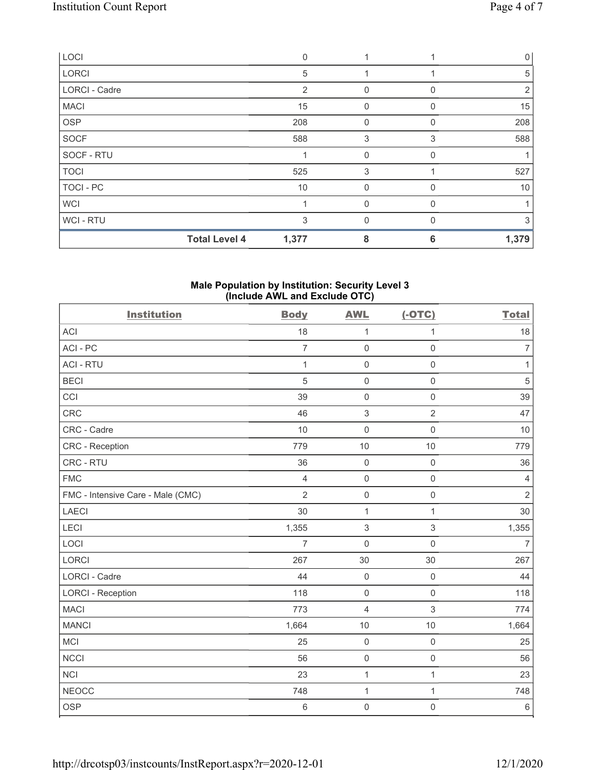| LOCI                 | 0                             |              |          | $\mathbf{0}$ |
|----------------------|-------------------------------|--------------|----------|--------------|
| LORCI                | 5                             |              |          | 5            |
| <b>LORCI - Cadre</b> | 2                             | 0            | 0        | 2            |
| <b>MACI</b>          | 15                            | 0            |          | 15           |
| OSP                  | 208                           | $\mathbf 0$  | O        | 208          |
| <b>SOCF</b>          | 588                           | 3            | 3        | 588          |
| SOCF - RTU           |                               | $\mathbf 0$  | 0        |              |
| <b>TOCI</b>          | 525                           | 3            |          | 527          |
| TOCI - PC            | 10                            | 0            | 0        | 10           |
| <b>WCI</b>           |                               | $\mathbf 0$  | 0        | 1            |
| WCI - RTU            | 3                             | $\mathbf{0}$ | $\Omega$ | 3            |
|                      | <b>Total Level 4</b><br>1,377 | 8            | 6        | 1,379        |

#### Male Population by Institution: Security Level 3 (Include AWL and Exclude OTC)

| <b>Institution</b>                | <b>Body</b>    | <b>AWL</b>                | $(-OTC)$            | <b>Total</b>   |
|-----------------------------------|----------------|---------------------------|---------------------|----------------|
| <b>ACI</b>                        | 18             | $\mathbf{1}$              | 1                   | 18             |
| ACI - PC                          | $\overline{7}$ | $\mathsf 0$               | $\mathsf{O}\xspace$ | $\overline{7}$ |
| <b>ACI - RTU</b>                  | $\mathbf{1}$   | $\mathbf 0$               | $\mathsf 0$         | $\mathbf{1}$   |
| <b>BECI</b>                       | 5              | $\mathsf 0$               | $\mathsf{O}\xspace$ | $\sqrt{5}$     |
| CCI                               | 39             | $\mathbf 0$               | $\mathsf 0$         | 39             |
| CRC                               | 46             | $\mathfrak{S}$            | $\overline{2}$      | 47             |
| CRC - Cadre                       | 10             | $\mathbf 0$               | $\mathbf 0$         | 10             |
| CRC - Reception                   | 779            | 10                        | 10                  | 779            |
| CRC - RTU                         | 36             | $\mathsf 0$               | $\mathsf{O}\xspace$ | 36             |
| <b>FMC</b>                        | $\overline{4}$ | $\mathsf 0$               | $\mathsf{O}\xspace$ | $\sqrt{4}$     |
| FMC - Intensive Care - Male (CMC) | $\overline{2}$ | $\mathsf{O}\xspace$       | $\mathsf{O}\xspace$ | $\overline{2}$ |
| LAECI                             | 30             | $\mathbf{1}$              | $\mathbf{1}$        | 30             |
| LECI                              | 1,355          | $\ensuremath{\mathsf{3}}$ | 3                   | 1,355          |
| LOCI                              | $\overline{7}$ | $\mathbf 0$               | $\mathsf{O}\xspace$ | $\overline{7}$ |
| <b>LORCI</b>                      | 267            | 30                        | 30                  | 267            |
| <b>LORCI - Cadre</b>              | 44             | $\mathsf{O}\xspace$       | $\mathbf 0$         | 44             |
| <b>LORCI - Reception</b>          | 118            | $\mathsf{O}\xspace$       | $\mathsf{O}\xspace$ | 118            |
| <b>MACI</b>                       | 773            | $\overline{4}$            | $\mathfrak{S}$      | 774            |
| <b>MANCI</b>                      | 1,664          | $10$                      | 10                  | 1,664          |
| MCI                               | 25             | $\mathsf{O}\xspace$       | $\mathsf 0$         | 25             |
| <b>NCCI</b>                       | 56             | $\mathsf{O}\xspace$       | $\mathbf 0$         | 56             |
| <b>NCI</b>                        | 23             | 1                         | $\mathbf{1}$        | 23             |
| <b>NEOCC</b>                      | 748            | $\mathbf{1}$              | 1                   | 748            |
| <b>OSP</b>                        | $\,6\,$        | $\mathbf 0$               | $\mathsf{O}\xspace$ | $\,6\,$        |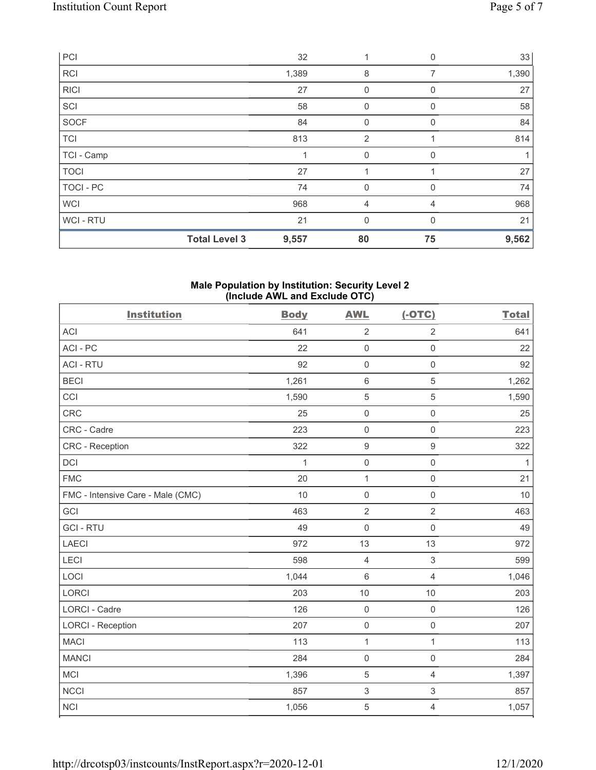| PCI              |                      | 32    | 1              | 0           | 33    |
|------------------|----------------------|-------|----------------|-------------|-------|
| <b>RCI</b>       |                      | 1,389 | 8              | 7           | 1,390 |
| <b>RICI</b>      |                      | 27    | $\mathbf 0$    | $\mathbf 0$ | 27    |
| SCI              |                      | 58    | 0              | 0           | 58    |
| SOCF             |                      | 84    | $\mathbf{0}$   | $\Omega$    | 84    |
| <b>TCI</b>       |                      | 813   | $\overline{2}$ |             | 814   |
| TCI - Camp       |                      |       | $\mathbf{0}$   | 0           |       |
| <b>TOCI</b>      |                      | 27    |                |             | 27    |
| <b>TOCI - PC</b> |                      | 74    | $\mathbf{0}$   | 0           | 74    |
| <b>WCI</b>       |                      | 968   | 4              | 4           | 968   |
| WCI-RTU          |                      | 21    | $\mathbf{0}$   | $\Omega$    | 21    |
|                  | <b>Total Level 3</b> | 9,557 | 80             | 75          | 9,562 |

#### Male Population by Institution: Security Level 2 (Include AWL and Exclude OTC)

| <b>Institution</b>                | <b>Body</b> | <b>AWL</b>          | $(-OTC)$            | <b>Total</b> |
|-----------------------------------|-------------|---------------------|---------------------|--------------|
| <b>ACI</b>                        | 641         | $\sqrt{2}$          | $\overline{2}$      | 641          |
| ACI-PC                            | 22          | $\mathbf 0$         | $\mathsf 0$         | 22           |
| <b>ACI - RTU</b>                  | 92          | $\mathsf{O}\xspace$ | $\mathsf{O}\xspace$ | 92           |
| <b>BECI</b>                       | 1,261       | $6\,$               | 5                   | 1,262        |
| CCI                               | 1,590       | $\mathbf 5$         | 5                   | 1,590        |
| <b>CRC</b>                        | 25          | $\mathbf 0$         | $\mathsf{O}\xspace$ | 25           |
| CRC - Cadre                       | 223         | $\mathsf{O}\xspace$ | $\mathbf 0$         | 223          |
| <b>CRC</b> - Reception            | 322         | $\boldsymbol{9}$    | $\boldsymbol{9}$    | 322          |
| <b>DCI</b>                        | 1           | $\mathbf 0$         | $\mathsf{O}\xspace$ | $\mathbf{1}$ |
| <b>FMC</b>                        | 20          | $\mathbf{1}$        | $\mathsf{O}\xspace$ | 21           |
| FMC - Intensive Care - Male (CMC) | 10          | $\mathsf{O}\xspace$ | $\mathsf 0$         | 10           |
| GCI                               | 463         | $\overline{2}$      | $\overline{2}$      | 463          |
| <b>GCI-RTU</b>                    | 49          | $\mathbf 0$         | $\mathbf 0$         | 49           |
| <b>LAECI</b>                      | 972         | 13                  | 13                  | 972          |
| LECI                              | 598         | $\overline{4}$      | 3                   | 599          |
| LOCI                              | 1,044       | $\,6\,$             | $\overline{4}$      | 1,046        |
| LORCI                             | 203         | 10                  | 10                  | 203          |
| LORCI - Cadre                     | 126         | $\mathbf 0$         | $\mathsf{O}\xspace$ | 126          |
| <b>LORCI - Reception</b>          | 207         | $\mathsf{O}\xspace$ | $\mathsf{O}\xspace$ | 207          |
| <b>MACI</b>                       | 113         | $\mathbf 1$         | $\mathbf{1}$        | 113          |
| <b>MANCI</b>                      | 284         | $\mathbf 0$         | $\mathsf{O}\xspace$ | 284          |
| <b>MCI</b>                        | 1,396       | $\,$ 5 $\,$         | $\overline{4}$      | 1,397        |
| <b>NCCI</b>                       | 857         | $\sqrt{3}$          | 3                   | 857          |
| <b>NCI</b>                        | 1,056       | $\overline{5}$      | 4                   | 1,057        |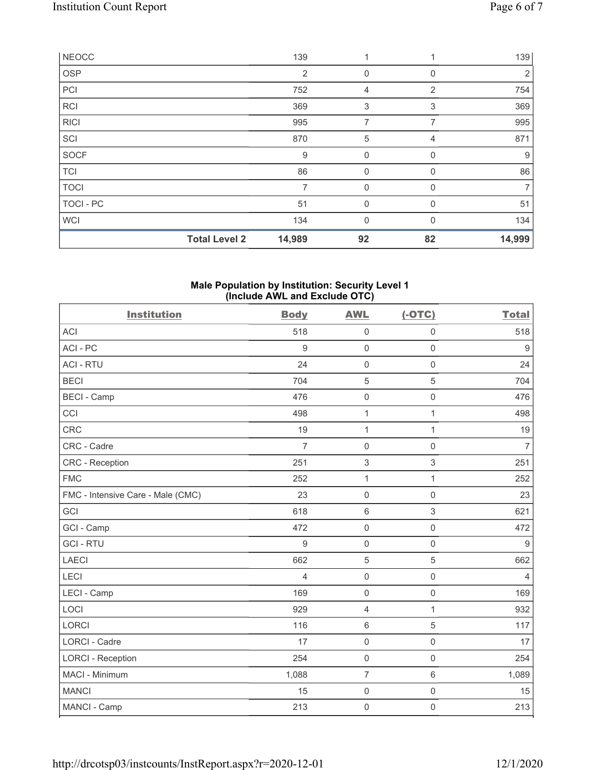|              | <b>Total Level 2</b> | 14,989         | 92           | 82       | 14,999         |
|--------------|----------------------|----------------|--------------|----------|----------------|
| <b>WCI</b>   |                      | 134            | $\mathbf{0}$ | $\Omega$ | 134            |
| TOCI - PC    |                      | 51             | $\mathbf 0$  | 0        | 51             |
| <b>TOCI</b>  |                      |                | $\mathbf 0$  | 0        | $\overline{7}$ |
| <b>TCI</b>   |                      | 86             | $\mathbf 0$  | 0        | 86             |
| <b>SOCF</b>  |                      | 9              | $\mathbf 0$  | 0        | 9              |
| SCI          |                      | 870            | 5            | 4        | 871            |
| <b>RICI</b>  |                      | 995            | 7            | 7        | 995            |
| <b>RCI</b>   |                      | 369            | 3            | 3        | 369            |
| PCI          |                      | 752            | 4            | 2        | 754            |
| <b>OSP</b>   |                      | $\overline{2}$ | 0            | 0        | $\overline{2}$ |
| <b>NEOCC</b> |                      | 139            | 1            |          | 139            |

#### Male Population by Institution: Security Level 1 (Include AWL and Exclude OTC)

| <b>Institution</b>                | <b>Body</b>    | <b>AWL</b>          | $(-OTC)$            | <b>Total</b>     |
|-----------------------------------|----------------|---------------------|---------------------|------------------|
| <b>ACI</b>                        | 518            | $\mathsf 0$         | $\mathsf 0$         | 518              |
| ACI-PC                            | $9\,$          | $\mathsf{O}\xspace$ | $\mathsf{O}\xspace$ | $\boldsymbol{9}$ |
| <b>ACI - RTU</b>                  | 24             | $\mathsf 0$         | $\mathbf 0$         | 24               |
| <b>BECI</b>                       | 704            | 5                   | 5                   | 704              |
| <b>BECI - Camp</b>                | 476            | $\mathbf 0$         | $\mathsf{O}\xspace$ | 476              |
| CCI                               | 498            | $\mathbf{1}$        | $\mathbf{1}$        | 498              |
| <b>CRC</b>                        | 19             | $\mathbf{1}$        | $\mathbf{1}$        | 19               |
| CRC - Cadre                       | $\overline{7}$ | $\mathbf 0$         | $\mathbf 0$         | $\overline{7}$   |
| <b>CRC</b> - Reception            | 251            | $\sqrt{3}$          | 3                   | 251              |
| <b>FMC</b>                        | 252            | $\mathbf{1}$        | $\mathbf{1}$        | 252              |
| FMC - Intensive Care - Male (CMC) | 23             | $\mathbf 0$         | $\mathbf 0$         | 23               |
| GCI                               | 618            | $6\,$               | 3                   | 621              |
| GCI - Camp                        | 472            | $\mathsf 0$         | $\mathsf{O}\xspace$ | 472              |
| <b>GCI-RTU</b>                    | 9              | $\mathsf 0$         | $\mathsf{O}\xspace$ | $9\,$            |
| <b>LAECI</b>                      | 662            | 5                   | 5                   | 662              |
| LECI                              | $\overline{4}$ | $\mathsf 0$         | $\mathsf{O}\xspace$ | $\overline{4}$   |
| LECI - Camp                       | 169            | $\mathbf 0$         | $\mathbf 0$         | 169              |
| LOCI                              | 929            | $\overline{4}$      | $\mathbf{1}$        | 932              |
| <b>LORCI</b>                      | 116            | $\,6\,$             | 5                   | 117              |
| <b>LORCI - Cadre</b>              | 17             | $\mathsf{O}\xspace$ | $\mathsf{O}\xspace$ | 17               |
| <b>LORCI - Reception</b>          | 254            | $\mathsf 0$         | $\mathsf 0$         | 254              |
| MACI - Minimum                    | 1,088          | $\overline{7}$      | $6\,$               | 1,089            |
| <b>MANCI</b>                      | 15             | $\mathbf 0$         | $\mathsf{O}\xspace$ | 15               |
| MANCI - Camp                      | 213            | $\mathsf{O}\xspace$ | $\mathsf{O}\xspace$ | 213              |